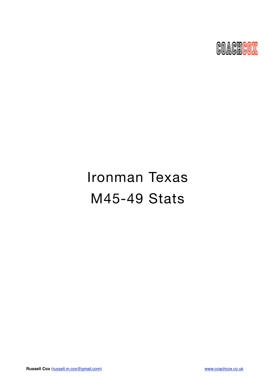

# Ironman Texas M45-49 Stats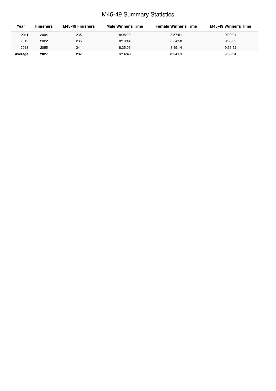# M45-49 Summary Statistics

| Year    | <b>Finishers</b> | M45-49 Finishers | <b>Male Winner's Time</b> | <b>Female Winner's Time</b> | M45-49 Winner's Time |
|---------|------------------|------------------|---------------------------|-----------------------------|----------------------|
| 2011    | 2004             | 235              | 8:08:20                   | 8:57:51                     | 9:29:04              |
| 2012    | 2022             | 235              | 8:10:44                   | 8:54:58                     | 9:35:39              |
| 2013    | 2055             | 241              | 8:25:06                   | 8:49:14                     | 9:36:52              |
| Average | 2027             | 237              | 8:14:43                   | 8:54:01                     | 9:33:51              |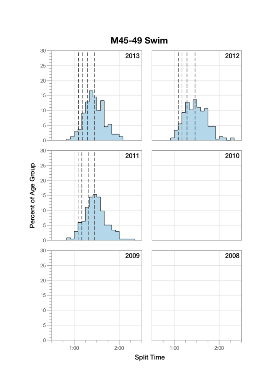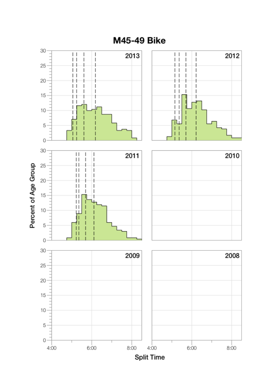

**M45-49 Bike**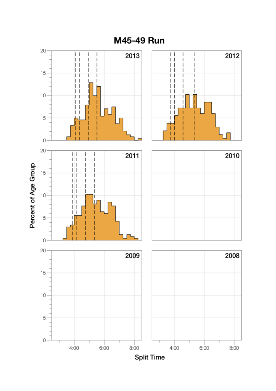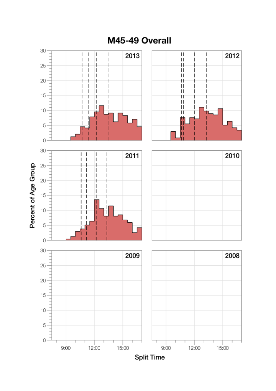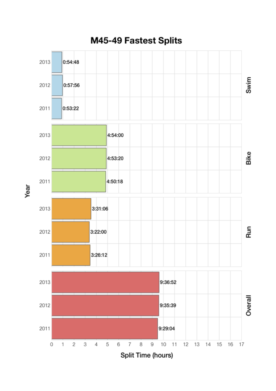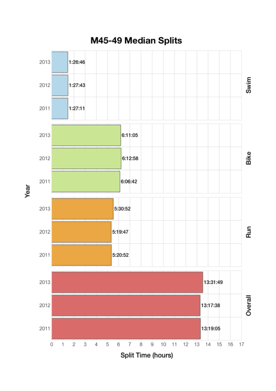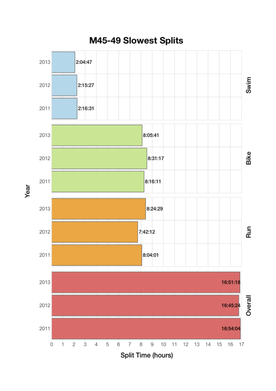

M45-49 Slowest Splits

Year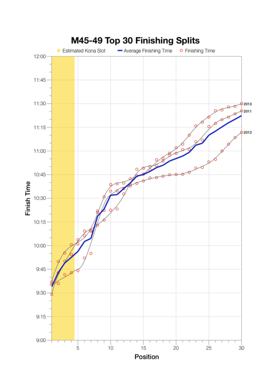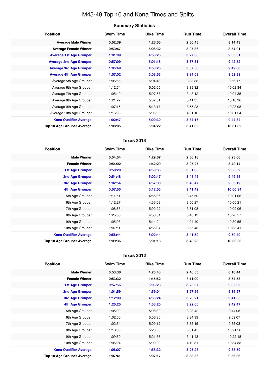# M45-49 Top 10 and Kona Times and Splits

## **Summary Statistics**

| <b>Position</b>                   | <b>Swim Time</b> | <b>Bike Time</b> | <b>Run Time</b> | <b>Overall Time</b> |
|-----------------------------------|------------------|------------------|-----------------|---------------------|
| <b>Average Male Winner</b>        | 0:52:39          | 4:26:55          | 2:50:45         | 8:14:43             |
| <b>Average Female Winner</b>      | 0:53:47          | 5:06:32          | 3:07:36         | 8:54:01             |
| <b>Average 1st Age Grouper</b>    | 1:01:09          | 4:58:25          | 3:27:38         | 9:33:51             |
| <b>Average 2nd Age Grouper</b>    | 0:57:09          | 5:01:18          | 3:37:31         | 9:42:52             |
| <b>Average 3rd Age Grouper</b>    | 1:05:49          | 4:58:25          | 3:37:58         | 9:49:00             |
| <b>Average 4th Age Grouper</b>    | 1:07:02          | 5:03:53          | 3:34:03         | 9:52:33             |
| Average 5th Age Grouper           | 1:05:55          | 5:04:43          | 3:38:33         | 9:56:17             |
| Average 6th Age Grouper           | 1:12:54          | 5:02:05          | 3:39:32         | 10:02:34            |
| Average 7th Age Grouper           | 1:05:40          | 5:07:57          | 3:43:12         | 10:04:35            |
| Average 8th Age Grouper           | 1:21:22          | 5:07:31          | 3:41:35         | 10:18:36            |
| Average 9th Age Grouper           | 1:07:15          | 5:13:17          | 3:55:23         | 10:23:08            |
| Average 10th Age Grouper          | 1:16:35          | 5:06:09          | 4:01:10         | 10:31:54            |
| <b>Kona Qualifier Average</b>     | 1:02:47          | 5:00:30          | 3:34:17         | 9:44:34             |
| <b>Top 10 Age Grouper Average</b> | 1:08:05          | 5:04:22          | 3:41:39         | 10:01:32            |

## **Texas 2013**

| <b>Position</b>                   | <b>Swim Time</b> | <b>Bike Time</b> | <b>Run Time</b> | <b>Overall Time</b> |
|-----------------------------------|------------------|------------------|-----------------|---------------------|
| <b>Male Winner</b>                | 0:54:54          | 4:29:07          | 2:56:18         | 8:25:06             |
| <b>Female Winner</b>              | 0:54:02          | 4:42:29          | 3:07:27         | 8:49:14             |
| <b>1st Age Grouper</b>            | 0:59:20          | 4:58:35          | 3:31:06         | 9:36:52             |
| <b>2nd Age Grouper</b>            | 0:54:48          | 5:02:47          | 3:45:45         | 9:49:55             |
| 3rd Age Grouper                   | 1:02:54          | 4:57:30          | 3:48:47         | 9:55:19             |
| 4th Age Grouper                   | 0:57:55          | 5:12:05          | 3:41:42         | 10:00:34            |
| 5th Age Grouper                   | 1:11:51          | 4:56:36          | 3:45:50         | 10:01:06            |
| 6th Age Grouper                   | 1:12:27          | 4:55:09          | 3:50:27         | 10:06:21            |
| 7th Age Grouper                   | 1:08:58          | 5:02:22          | 3:51:08         | 10:09:06            |
| 8th Age Grouper                   | 1:25:35          | 4:58:04          | 3:48:13         | 10:20:57            |
| 9th Age Grouper                   | 1:05:08          | 5:14:24          | 4:04:40         | 10:30:55            |
| 10th Age Grouper                  | 1:37:11          | 4:55:34          | 3:56:43         | 10:38:41            |
| <b>Kona Qualifier Average</b>     | 0:58:44          | 5:02:44          | 3:41:50         | 9:50:40             |
| <b>Top 10 Age Grouper Average</b> | 1:09:36          | 5:01:18          | 3:48:26         | 10:06:58            |

#### **Texas 2012**

| <b>Position</b>                   | <b>Swim Time</b> | <b>Bike Time</b> | <b>Run Time</b> | <b>Overall Time</b> |
|-----------------------------------|------------------|------------------|-----------------|---------------------|
| <b>Male Winner</b>                | 0:53:36          | 4:25:43          | 2:46:55         | 8:10:44             |
| <b>Female Winner</b>              | 0:53:32          | 4:45:52          | 3:11:09         | 8:54:58             |
| <b>1st Age Grouper</b>            | 0:57:56          | 5:06:23          | 3:25:37         | 9:35:39             |
| <b>2nd Age Grouper</b>            | 1:01:59          | 4:59:04          | 3:27:56         | 9:35:57             |
| 3rd Age Grouper                   | 1:12:09          | 4:55:24          | 3:26:21         | 9:41:35             |
| <b>4th Age Grouper</b>            | 1:20:25          | 4:53:20          | 3:22:00         | 9:42:47             |
| 5th Age Grouper                   | 1:05:09          | 5:08:32          | 3:23:42         | 9:44:06             |
| 6th Age Grouper                   | 1:02:50          | 5:06:35          | 3:34:39         | 9:52:07             |
| 7th Age Grouper                   | 1:02:54          | 5:09:12          | 3:35:15         | 9:55:03             |
| 8th Age Grouper                   | 1:18:08          | 5:23:50          | 3:31:45         | 10:21:56            |
| 9th Age Grouper                   | 1:09:59          | 5:21:36          | 3:41:43         | 10:22:18            |
| 10th Age Grouper                  | 1:05:24          | 5:09:00          | 4:10:31         | 10:34:33            |
| <b>Kona Qualifier Average</b>     | 1:08:07          | 4:58:32          | 3:25:28         | 9:38:59             |
| <b>Top 10 Age Grouper Average</b> | 1:07:41          | 5:07:17          | 3:33:56         | 9:56:36             |